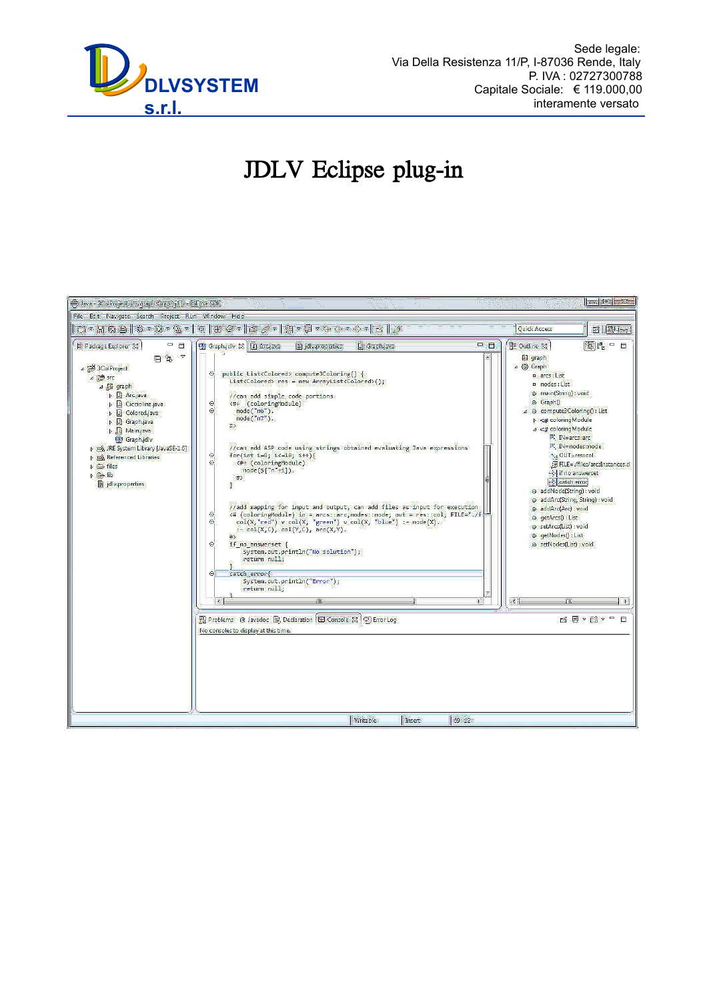

# JDLV Eclipse plug-in

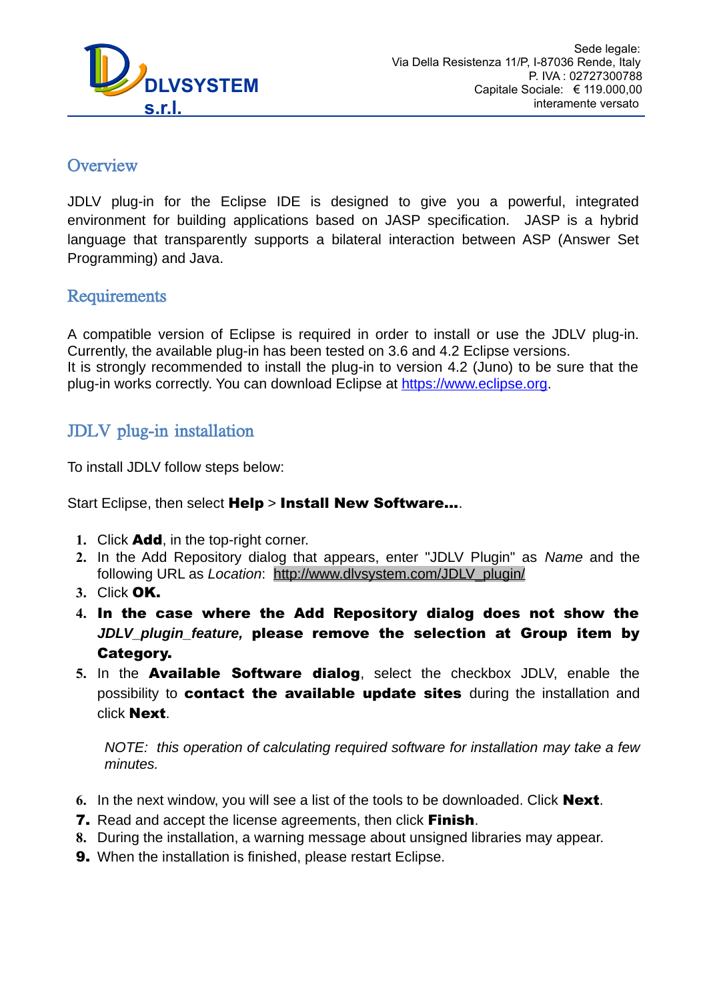

## **Overview**

JDLV plug-in for the Eclipse IDE is designed to give you a powerful, integrated environment for building applications based on JASP specification. JASP is a hybrid language that transparently supports a bilateral interaction between ASP (Answer Set Programming) and Java.

## Requirements

A compatible version of Eclipse is required in order to install or use the JDLV plug-in. Currently, the available plug-in has been tested on 3.6 and 4.2 Eclipse versions. It is strongly recommended to install the plug-in to version 4.2 (Juno) to be sure that the plug-in works correctly. You can download Eclipse at [https://www.eclipse.org.](https://www.eclipse.org/)

## JDLV plug-in installation

To install JDLV follow steps below:

Start Eclipse, then select Help > Install New Software....

- **1.** Click Add, in the top-right corner.
- **2.** In the Add Repository dialog that appears, enter "JDLV Plugin" as *Name* and the following URL as *Location*: [http://www.dlvsystem.com/JDLV\\_plugin/](http://www.dlvsystem.com/JDLV_plugin/)
- **3.** Click OK.
- **4.** In the case where the Add Repository dialog does not show the *JDLV\_plugin\_feature,* please remove the selection at Group item by Category.
- **5.** In the Available Software dialog, select the checkbox JDLV, enable the possibility to contact the available update sites during the installation and click Next.

*NOTE: this operation of calculating required software for installation may take a few minutes.*

- **6.** In the next window, you will see a list of the tools to be downloaded. Click Next.
- **7.** Read and accept the license agreements, then click **Finish**.
- **8.** During the installation, a warning message about unsigned libraries may appear.
- **9.** When the installation is finished, please restart Eclipse.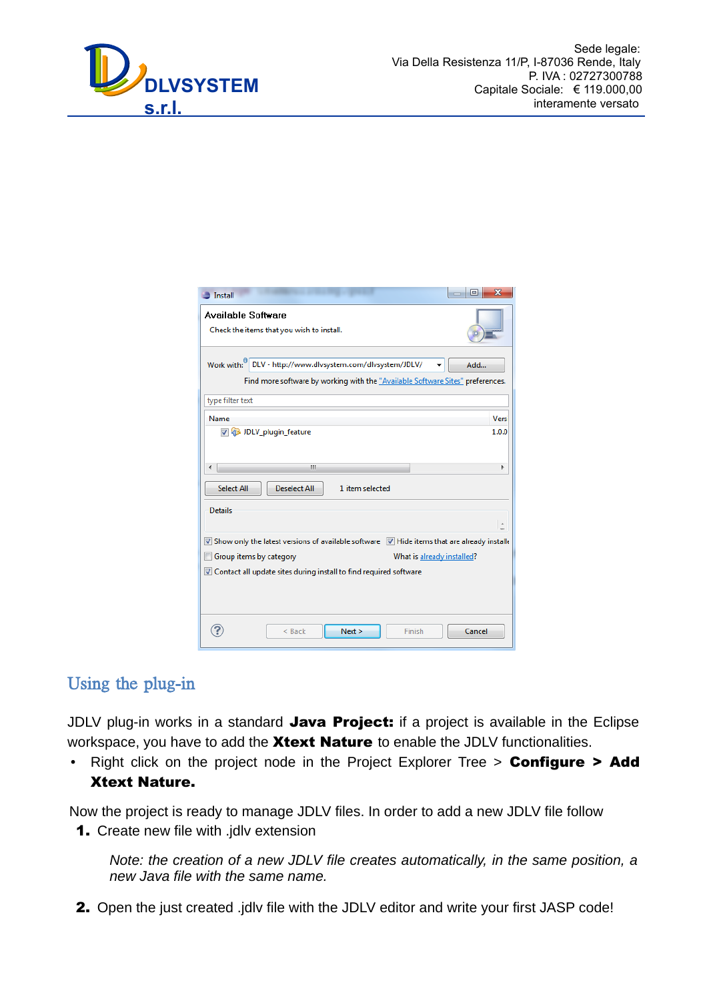

| $\equiv$ Install                                                                                                                            | X<br>叵 |
|---------------------------------------------------------------------------------------------------------------------------------------------|--------|
| <b>Available Software</b>                                                                                                                   |        |
| Check the items that you wish to install.                                                                                                   |        |
| Work with: DLV - http://www.dlvsystem.com/dlvsystem/JDLV/<br>Find more software by working with the "Available Software Sites" preferences. | Add    |
| type filter text                                                                                                                            |        |
| Name                                                                                                                                        | Vers   |
| DLV_plugin_feature                                                                                                                          | 1.0.0  |
| ш                                                                                                                                           | ь      |
| <b>Select All</b><br><b>Deselect All</b><br>1 item selected                                                                                 |        |
| <b>Details</b>                                                                                                                              |        |
|                                                                                                                                             |        |
| Show only the latest versions of available software V Hide items that are already installed                                                 |        |
| Group items by category<br>What is already installed?                                                                                       |        |
| ▼ Contact all update sites during install to find required software                                                                         |        |
|                                                                                                                                             |        |
| Next ><br>$<$ Back<br>Finish                                                                                                                | Cancel |

## Using the plug-in

JDLV plug-in works in a standard Java Project: if a project is available in the Eclipse workspace, you have to add the **Xtext Nature** to enable the JDLV functionalities.

• Right click on the project node in the Project Explorer Tree > Configure > Add Xtext Nature.

Now the project is ready to manage JDLV files. In order to add a new JDLV file follow 1. Create new file with .jdlv extension

*Note: the creation of a new JDLV file creates automatically, in the same position, a new Java file with the same name.*

2. Open the just created .jdlv file with the JDLV editor and write your first JASP code!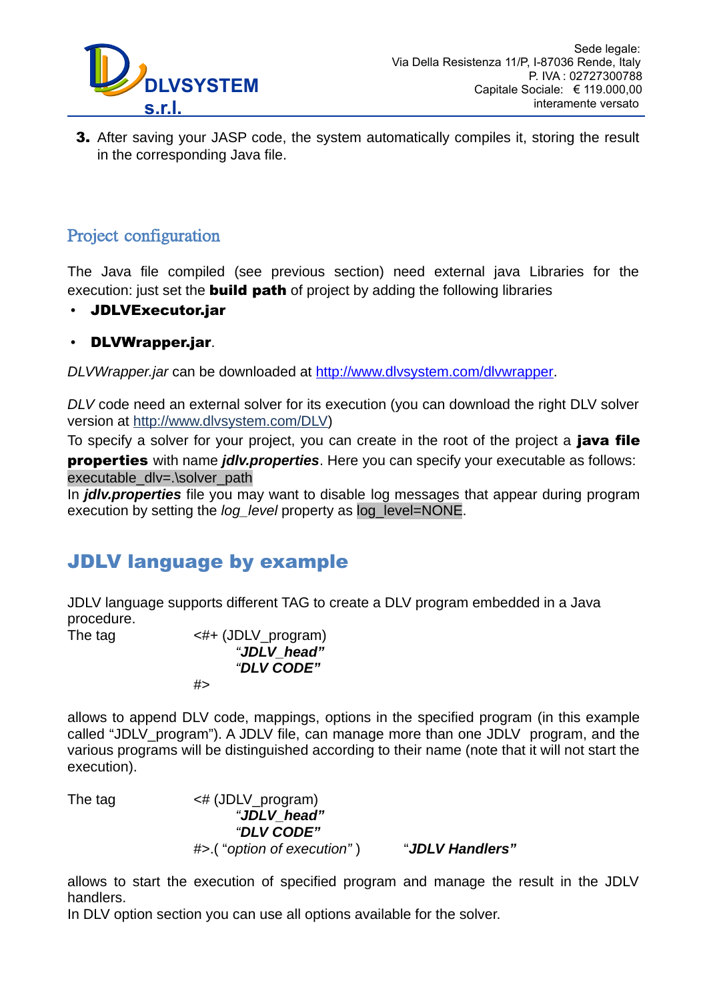

**3.** After saving your JASP code, the system automatically compiles it, storing the result in the corresponding Java file.

## Project configuration

í

The Java file compiled (see previous section) need external java Libraries for the execution: just set the **build path** of project by adding the following libraries

• JDLVExecutor.jar

#### • DLVWrapper.jar.

*DLVWrapper.jar* can be downloaded at [http://www.dlvsystem.com/dlvwrapper.](http://www.dlvsystem.com/dlvwrapper)

*DLV* code need an external solver for its execution (you can download the right DLV solver version at [http://www.dlvsystem.com/DLV\)](http://www.dlvsystem.com/DLV)

To specify a solver for your project, you can create in the root of the project a **java file** properties with name *jdlv.properties*. Here you can specify your executable as follows: executable\_dlv=.\solver\_path

In *jdlv.properties* file you may want to disable log messages that appear during program execution by setting the *log\_level* property as log\_level=NONE.

# JDLV language by example

JDLV language supports different TAG to create a DLV program embedded in a Java procedure.

The tag  $\leq \# +$  (JDLV program) *"JDLV\_head" "DLV CODE"* #>

allows to append DLV code, mappings, options in the specified program (in this example called "JDLV\_program"). A JDLV file, can manage more than one JDLV program, and the various programs will be distinguished according to their name (note that it will not start the execution).

The tag  $\leq \#$  (JDLV program) *"JDLV\_head" "DLV CODE"* #>.( "*option of execution"* ) "*JDLV Handlers"*

allows to start the execution of specified program and manage the result in the JDLV handlers.

In DLV option section you can use all options available for the solver.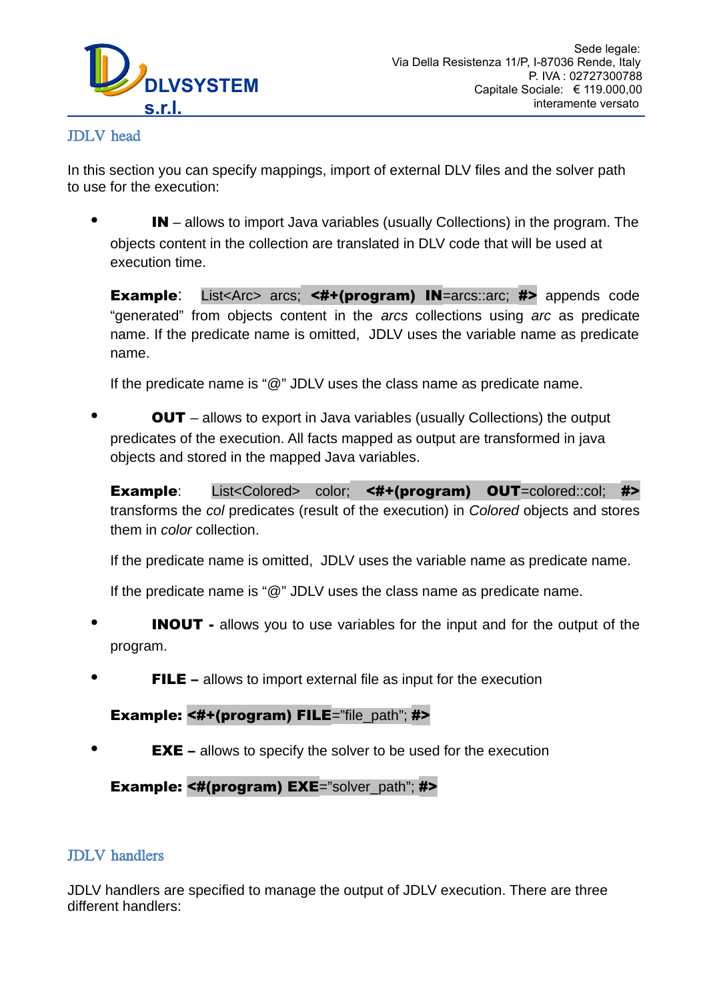

#### JDLV head

In this section you can specify mappings, import of external DLV files and the solver path to use for the execution:

IN – allows to import Java variables (usually Collections) in the program. The objects content in the collection are translated in DLV code that will be used at execution time.

Example: List<Arc> arcs; <#+(program) IN=arcs::arc; #> appends code "generated" from objects content in the *arcs* collections using *arc* as predicate name. If the predicate name is omitted, JDLV uses the variable name as predicate name.

If the predicate name is " $@$ " JDLV uses the class name as predicate name.

**OUT** – allows to export in Java variables (usually Collections) the output predicates of the execution. All facts mapped as output are transformed in java objects and stored in the mapped Java variables.

Example: List<Colored> color; <#+(program) OUT=colored::col; #> transforms the *col* predicates (result of the execution) in *Colored* objects and stores them in *color* collection.

If the predicate name is omitted, JDLV uses the variable name as predicate name.

If the predicate name is " $@$ " JDLV uses the class name as predicate name.

- **INOUT** allows you to use variables for the input and for the output of the program.
- **FILE** allows to import external file as input for the execution

#### Example: <#+(program) FILE="file\_path"; #>

**EXE** – allows to specify the solver to be used for the execution

#### Example: <#(program) EXE="solver\_path"; #>

#### JDLV handlers

JDLV handlers are specified to manage the output of JDLV execution. There are three different handlers: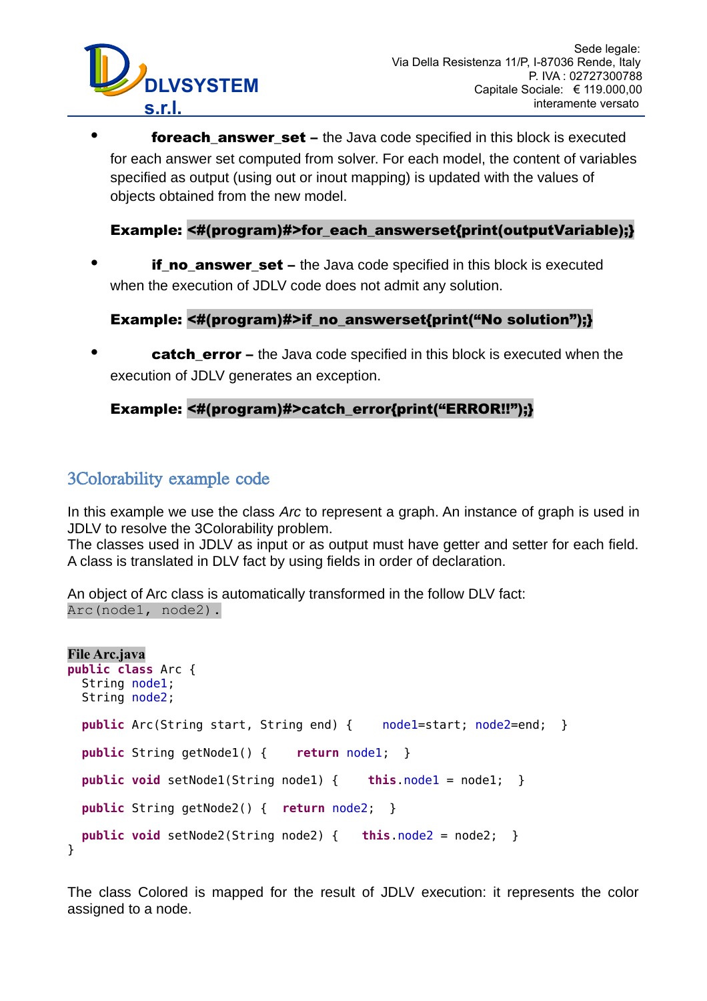

í

**foreach answer set** – the Java code specified in this block is executed for each answer set computed from solver. For each model, the content of variables specified as output (using out or inout mapping) is updated with the values of objects obtained from the new model.

#### Example: <#(program)#>for\_each\_answerset{print(outputVariable);}

**if\_no\_answer\_set** – the Java code specified in this block is executed when the execution of JDLV code does not admit any solution.

#### Example: <#(program)#>if no answerset{print("No solution");}

**catch error** – the Java code specified in this block is executed when the execution of JDLV generates an exception.

### Example: <#(program)#>catch\_error{print("ERROR!!");}

## 3Colorability example code

In this example we use the class *Arc* to represent a graph. An instance of graph is used in JDLV to resolve the 3Colorability problem.

The classes used in JDLV as input or as output must have getter and setter for each field. A class is translated in DLV fact by using fields in order of declaration.

An object of Arc class is automatically transformed in the follow DLV fact: Arc(node1, node2).

```
File Arc.java
public class Arc {
  String node1;
  String node2;
  public Arc(String start, String end) { node1=start; node2=end; }
  public String getNode1() { return node1; }
  public void setNode1(String node1) { this.node1 = node1; }
  public String getNode2() { return node2; }
  public void setNode2(String node2) { this.node2 = node2; }
}
```
The class Colored is mapped for the result of JDLV execution: it represents the color assigned to a node.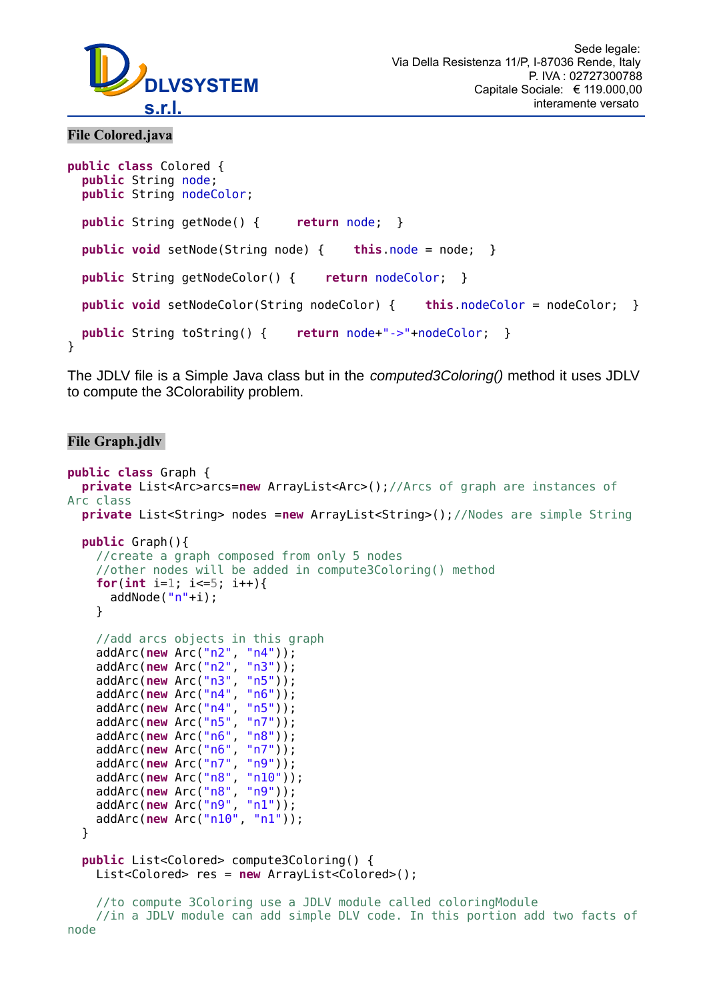

#### **File Colored.java**

í

```
public class Colored {
  public String node; 
  public String nodeColor;
  public String getNode() { return node; }
  public void setNode(String node) { this.node = node; }
  public String getNodeColor() { return nodeColor; }
  public void setNodeColor(String nodeColor) { this.nodeColor = nodeColor; }
  public String toString() { return node+"->"+nodeColor; }
}
```
The JDLV file is a Simple Java class but in the *computed3Coloring()* method it uses JDLV to compute the 3Colorability problem.

#### **File Graph.jdlv**

```
public class Graph {
   private List<Arc>arcs=new ArrayList<Arc>();//Arcs of graph are instances of
Arc class
   private List<String> nodes =new ArrayList<String>();//Nodes are simple String
   public Graph(){
     //create a graph composed from only 5 nodes 
     //other nodes will be added in compute3Coloring() method
    for(int i=1; i \le 5; i \ne +1){
      addNode("n"+i);
     } 
     //add arcs objects in this graph
 addArc(new Arc("n2", "n4"));
 addArc(new Arc("n2", "n3"));
 addArc(new Arc("n3", "n5"));
 addArc(new Arc("n4", "n6"));
     addArc(new Arc("n4", "n5"));
    addArc(new Arc("n5", "n7"));<br>addArc(new Arc("n6", "n8"));
    addArc(new Arc("n6", "n8"));<br>addArc(new Arc("n6", "n7"));
    addArc(new Arc("n6", "n7"));<br>addArc(new Arc("n7", "n9"));
    addArc(new Arc("n7",
     addArc(new Arc("n8", "n10"));
 addArc(new Arc("n8", "n9"));
 addArc(new Arc("n9", "n1"));
     addArc(new Arc("n10", "n1"));
   }
   public List<Colored> compute3Coloring() {
     List<Colored> res = new ArrayList<Colored>();
     //to compute 3Coloring use a JDLV module called coloringModule
     //in a JDLV module can add simple DLV code. In this portion add two facts of
```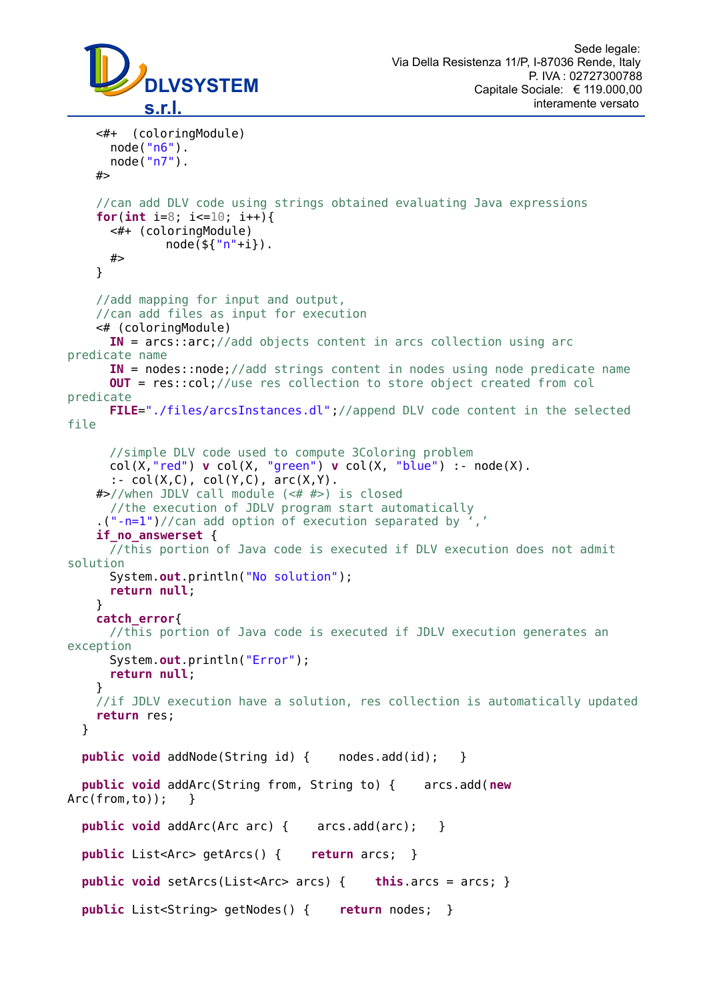

í

```
 <#+ (coloringModule)
       node("n6").
       node("n7").
    #> 
     //can add DLV code using strings obtained evaluating Java expressions
     for(int i=8; i<=10; i++){
       <#+ (coloringModule) 
              node({\S}{'''n''+i}). #>
     } 
     //add mapping for input and output, 
     //can add files as input for execution
     <# (coloringModule) 
      IN = arcs::arc;//add objects content in arcs collection using arc
predicate name
      IN = nodes::node;//add strings content in nodes using node predicate name
      OUT = res::col;//use res collection to store object created from col
predicate
      FILE="./files/arcsInstances.dl";//append DLV code content in the selected
file 
      //simple DLV code used to compute 3Coloring problem
      col(X,"red") v col(X, "green") v col(X, "blue") :- node(X).
 :- col(X,C), col(Y,C), arc(X,Y).
    #>//when JDLV call module (<# #>) is closed 
       //the execution of JDLV program start automatically
     .("-n=1")//can add option of execution separated by ','
     if_no_answerset { 
      //this portion of Java code is executed if DLV execution does not admit
solution
       System.out.println("No solution");
       return null;
     }
     catch_error{
      //this portion of Java code is executed if JDLV execution generates an
exception
       System.out.println("Error");
       return null;
     }
     //if JDLV execution have a solution, res collection is automatically updated
     return res; 
   }
  public void addNode(String id) { nodes.add(id); }
  public void addArc(String from, String to) { arcs.add(new
Arc(from,to)); }
   public void addArc(Arc arc) { arcs.add(arc); }
   public List<Arc> getArcs() { return arcs; }
   public void setArcs(List<Arc> arcs) { this.arcs = arcs; }
   public List<String> getNodes() { return nodes; }
```